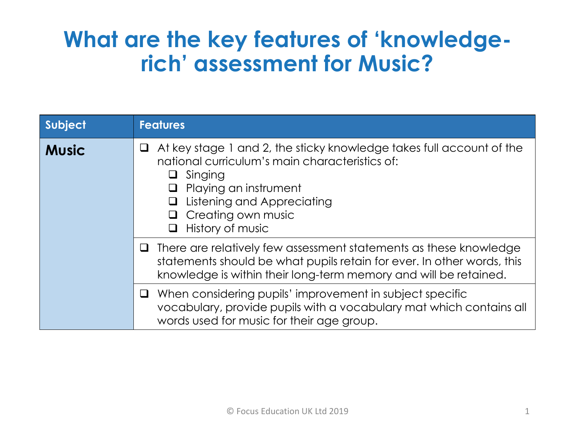# **What are the key features of 'knowledgerich' assessment for Music?**

| Subject      | <b>Features</b>                                                                                                                                                                                                                                                       |
|--------------|-----------------------------------------------------------------------------------------------------------------------------------------------------------------------------------------------------------------------------------------------------------------------|
| <b>Music</b> | At key stage 1 and 2, the sticky knowledge takes full account of the<br>national curriculum's main characteristics of:<br>Singing<br>$\Box$<br>Playing an instrument<br>Listening and Appreciating<br>$\Box$<br>Creating own music<br>$\Box$<br>History of music<br>⊔ |
|              | $\Box$ There are relatively few assessment statements as these knowledge<br>statements should be what pupils retain for ever. In other words, this<br>knowledge is within their long-term memory and will be retained.                                                |
|              | $\Box$ When considering pupils' improvement in subject specific<br>vocabulary, provide pupils with a vocabulary mat which contains all<br>words used for music for their age group.                                                                                   |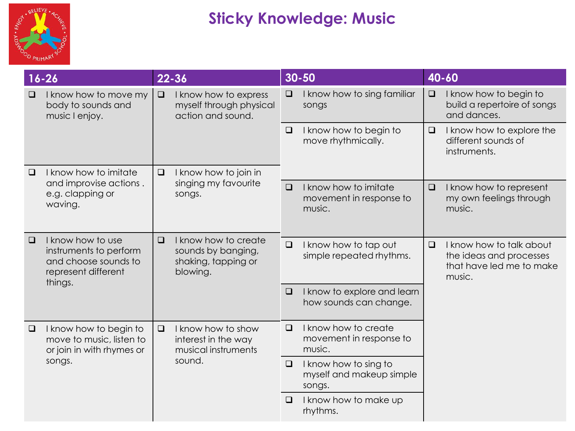

|        | $16 - 26$                                                                                             |                                                                            | $22 - 36$                                                                     |                                                           | $30 - 50$                                                   |        | 40-60                                                                                     |
|--------|-------------------------------------------------------------------------------------------------------|----------------------------------------------------------------------------|-------------------------------------------------------------------------------|-----------------------------------------------------------|-------------------------------------------------------------|--------|-------------------------------------------------------------------------------------------|
| $\Box$ | I know how to move my<br>body to sounds and<br>music I enjoy.                                         | $\Box$                                                                     | I know how to express<br>myself through physical<br>action and sound.         | $\Box$                                                    | I know how to sing familiar<br>songs                        | $\Box$ | I know how to begin to<br>build a repertoire of songs<br>and dances.                      |
|        |                                                                                                       |                                                                            |                                                                               | $\Box$                                                    | I know how to begin to<br>move rhythmically.                | $\Box$ | I know how to explore the<br>different sounds of<br>instruments.                          |
| $\Box$ | I know how to imitate                                                                                 | $\Box$                                                                     | I know how to join in                                                         |                                                           |                                                             |        |                                                                                           |
|        | and improvise actions.<br>e.g. clapping or<br>waving.                                                 |                                                                            | singing my favourite<br>songs.                                                | $\Box$                                                    | I know how to imitate<br>movement in response to<br>music.  | $\Box$ | I know how to represent<br>my own feelings through<br>music.                              |
| $\Box$ | I know how to use<br>instruments to perform<br>and choose sounds to<br>represent different<br>things. | $\Box$                                                                     | I know how to create<br>sounds by banging,<br>shaking, tapping or<br>blowing. | $\Box$                                                    | I know how to tap out<br>simple repeated rhythms.           | $\Box$ | I know how to talk about<br>the ideas and processes<br>that have led me to make<br>music. |
|        |                                                                                                       |                                                                            |                                                                               | $\Box$                                                    | I know to explore and learn<br>how sounds can change.       |        |                                                                                           |
| $\Box$ | I know how to begin to<br>move to music, listen to<br>or join in with rhymes or<br>songs.             | I know how to show<br>$\Box$<br>interest in the way<br>musical instruments | $\Box$                                                                        | I know how to create<br>movement in response to<br>music. |                                                             |        |                                                                                           |
|        |                                                                                                       | sound.                                                                     |                                                                               | $\Box$                                                    | I know how to sing to<br>myself and makeup simple<br>songs. |        |                                                                                           |
|        |                                                                                                       |                                                                            |                                                                               | $\Box$                                                    | I know how to make up<br>rhythms.                           |        |                                                                                           |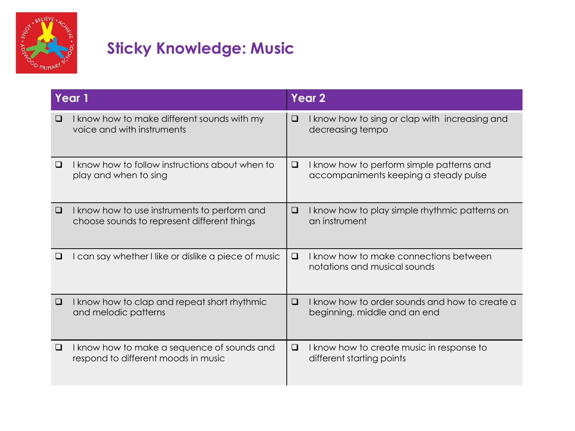

| Year 1 |                                                                                             | Year <sub>2</sub> |                                                                                    |  |
|--------|---------------------------------------------------------------------------------------------|-------------------|------------------------------------------------------------------------------------|--|
| ⊔      | I know how to make different sounds with my<br>voice and with instruments                   | □                 | I know how to sing or clap with increasing and<br>decreasing tempo                 |  |
| ப      | I know how to follow instructions about when to<br>play and when to sing                    | ❏                 | I know how to perform simple patterns and<br>accompaniments keeping a steady pulse |  |
| $\Box$ | I know how to use instruments to perform and<br>choose sounds to represent different things | $\Box$            | I know how to play simple rhythmic patterns on<br>an instrument                    |  |
| ப      | can say whether I like or dislike a piece of music                                          | □                 | I know how to make connections between<br>notations and musical sounds             |  |
| ❏      | I know how to clap and repeat short rhythmic<br>and melodic patterns                        | □                 | I know how to order sounds and how to create a<br>beginning, middle and an end     |  |
| ⊔      | I know how to make a sequence of sounds and<br>respond to different moods in music          | □                 | I know how to create music in response to<br>different starting points             |  |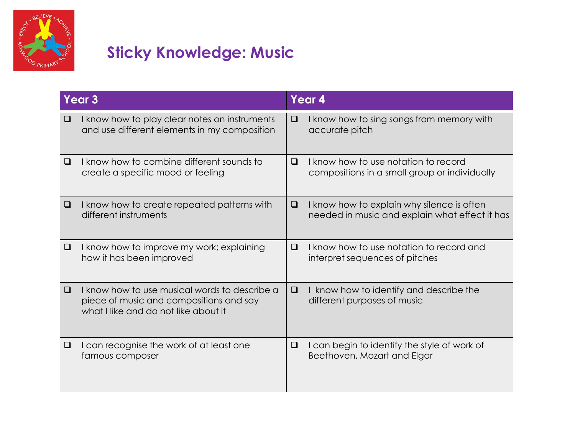

|        | Year <sub>3</sub>                                                                                                                | Year 4 |                                                                                              |  |
|--------|----------------------------------------------------------------------------------------------------------------------------------|--------|----------------------------------------------------------------------------------------------|--|
| ⊔      | I know how to play clear notes on instruments<br>and use different elements in my composition                                    | □      | I know how to sing songs from memory with<br>accurate pitch                                  |  |
| ❏      | I know how to combine different sounds to<br>create a specific mood or feeling                                                   | □      | I know how to use notation to record<br>compositions in a small group or individually        |  |
| □      | I know how to create repeated patterns with<br>different instruments                                                             | ❏      | I know how to explain why silence is often<br>needed in music and explain what effect it has |  |
| □      | I know how to improve my work; explaining<br>how it has been improved                                                            | $\Box$ | I know how to use notation to record and<br>interpret sequences of pitches                   |  |
| $\Box$ | I know how to use musical words to describe a<br>piece of music and compositions and say<br>what I like and do not like about it | $\Box$ | I know how to identify and describe the<br>different purposes of music                       |  |
| ⊔      | I can recognise the work of at least one<br>famous composer                                                                      | ⊔      | I can begin to identify the style of work of<br>Beethoven, Mozart and Elgar                  |  |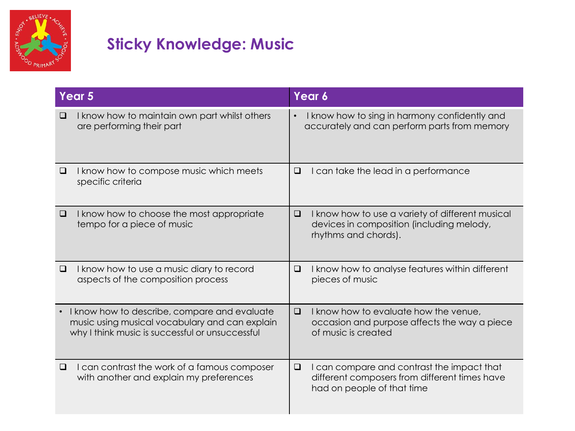

|           | Year 5                                                                                                                                            | Year 6    |                                                                                                                           |  |
|-----------|---------------------------------------------------------------------------------------------------------------------------------------------------|-----------|---------------------------------------------------------------------------------------------------------------------------|--|
| ❏         | I know how to maintain own part whilst others<br>are performing their part                                                                        | $\bullet$ | I know how to sing in harmony confidently and<br>accurately and can perform parts from memory                             |  |
| ❏         | I know how to compose music which meets<br>specific criteria                                                                                      | □         | I can take the lead in a performance                                                                                      |  |
| $\Box$    | I know how to choose the most appropriate<br>tempo for a piece of music                                                                           | □         | I know how to use a variety of different musical<br>devices in composition (including melody,<br>rhythms and chords).     |  |
| $\Box$    | I know how to use a music diary to record<br>aspects of the composition process                                                                   | $\Box$    | I know how to analyse features within different<br>pieces of music                                                        |  |
| $\bullet$ | I know how to describe, compare and evaluate<br>music using musical vocabulary and can explain<br>why I think music is successful or unsuccessful | $\Box$    | I know how to evaluate how the venue,<br>occasion and purpose affects the way a piece<br>of music is created              |  |
| □         | I can contrast the work of a famous composer<br>with another and explain my preferences                                                           | $\Box$    | I can compare and contrast the impact that<br>different composers from different times have<br>had on people of that time |  |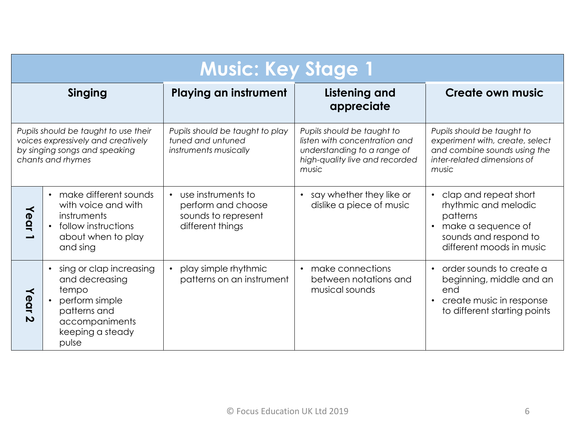|                                                                                                                                  | <b>Music: Key Stage 1</b>                                                                                                           |                                                                                                  |                                                                                                                                       |                                                                                                                                                                |  |  |
|----------------------------------------------------------------------------------------------------------------------------------|-------------------------------------------------------------------------------------------------------------------------------------|--------------------------------------------------------------------------------------------------|---------------------------------------------------------------------------------------------------------------------------------------|----------------------------------------------------------------------------------------------------------------------------------------------------------------|--|--|
| Singing                                                                                                                          |                                                                                                                                     | <b>Playing an instrument</b><br><b>Listening and</b><br>appreciate                               |                                                                                                                                       | <b>Create own music</b>                                                                                                                                        |  |  |
| Pupils should be taught to use their<br>voices expressively and creatively<br>by singing songs and speaking<br>chants and rhymes |                                                                                                                                     | Pupils should be taught to play<br>tuned and untuned<br>instruments musically                    | Pupils should be taught to<br>listen with concentration and<br>understanding to a range of<br>high-quality live and recorded<br>music | Pupils should be taught to<br>experiment with, create, select<br>and combine sounds using the<br>inter-related dimensions of<br>music                          |  |  |
| Year                                                                                                                             | make different sounds<br>with voice and with<br>instruments<br>follow instructions<br>about when to play<br>and sing                | use instruments to<br>$\bullet$<br>perform and choose<br>sounds to represent<br>different things | say whether they like or<br>$\bullet$<br>dislike a piece of music                                                                     | clap and repeat short<br>$\bullet$<br>rhythmic and melodic<br>patterns<br>make a sequence of<br>$\bullet$<br>sounds and respond to<br>different moods in music |  |  |
| Year<br>N                                                                                                                        | sing or clap increasing<br>and decreasing<br>tempo<br>perform simple<br>patterns and<br>accompaniments<br>keeping a steady<br>pulse | play simple rhythmic<br>$\bullet$<br>patterns on an instrument                                   | make connections<br>$\bullet$<br>between notations and<br>musical sounds                                                              | order sounds to create a<br>$\bullet$<br>beginning, middle and an<br>end<br>create music in response<br>$\bullet$<br>to different starting points              |  |  |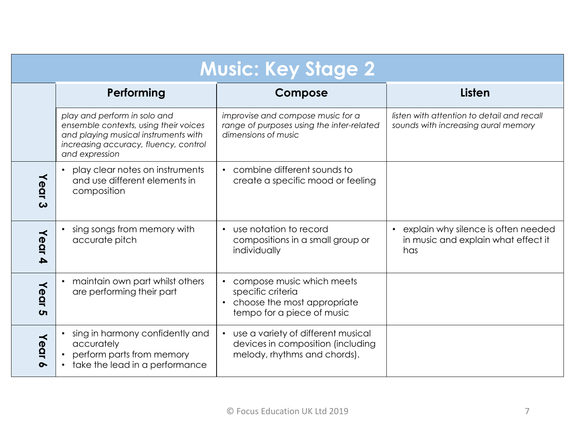| <b>Music: Key Stage 2</b>     |                                                                                                                                                                          |                                                                                                                                       |                                                                                   |  |  |  |
|-------------------------------|--------------------------------------------------------------------------------------------------------------------------------------------------------------------------|---------------------------------------------------------------------------------------------------------------------------------------|-----------------------------------------------------------------------------------|--|--|--|
|                               | Performing                                                                                                                                                               | Compose                                                                                                                               | <b>Listen</b>                                                                     |  |  |  |
|                               | play and perform in solo and<br>ensemble contexts, using their voices<br>and playing musical instruments with<br>increasing accuracy, fluency, control<br>and expression | improvise and compose music for a<br>range of purposes using the inter-related<br>dimensions of music                                 | listen with attention to detail and recall<br>sounds with increasing aural memory |  |  |  |
| Year<br>$\boldsymbol{\omega}$ | play clear notes on instruments<br>and use different elements in<br>composition                                                                                          | combine different sounds to<br>create a specific mood or feeling                                                                      |                                                                                   |  |  |  |
| Year<br>A                     | sing songs from memory with<br>accurate pitch                                                                                                                            | use notation to record<br>$\bullet$<br>compositions in a small group or<br>individually                                               | explain why silence is often needed<br>in music and explain what effect it<br>has |  |  |  |
| Year<br>$\sigma$              | maintain own part whilst others<br>are performing their part                                                                                                             | compose music which meets<br>$\bullet$<br>specific criteria<br>choose the most appropriate<br>$\bullet$<br>tempo for a piece of music |                                                                                   |  |  |  |
| Year<br>$\sim$                | sing in harmony confidently and<br>accurately<br>perform parts from memory<br>take the lead in a performance                                                             | use a variety of different musical<br>devices in composition (including<br>melody, rhythms and chords).                               |                                                                                   |  |  |  |